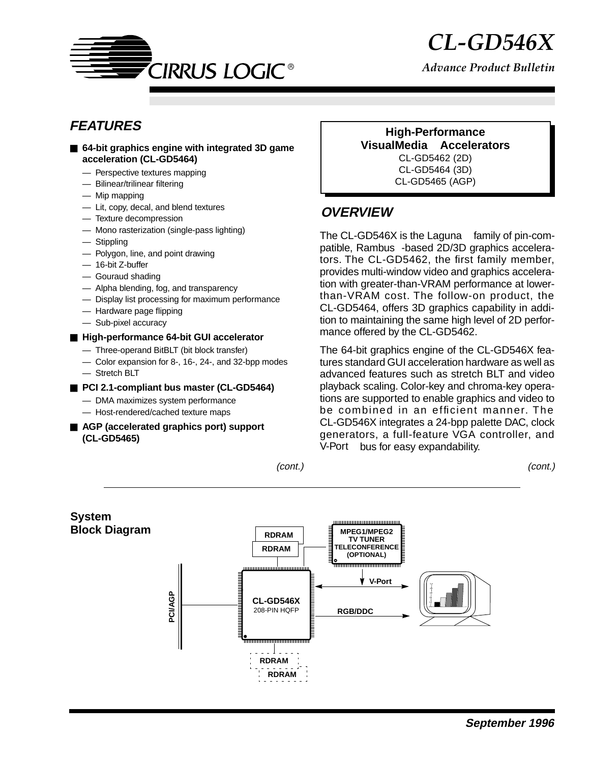

*Advance Product Bulletin*

# **FEATURES**

- 64-bit graphics engine with integrated 3D game **acceleration (CL-GD5464)**
	- Perspective textures mapping
	- Bilinear/trilinear filtering
	- Mip mapping
	- Lit, copy, decal, and blend textures
	- Texture decompression
	- Mono rasterization (single-pass lighting)
	- Stippling
	- Polygon, line, and point drawing
	- 16-bit Z-buffer
	- Gouraud shading
	- Alpha blending, fog, and transparency
	- Display list processing for maximum performance
	- Hardware page flipping
	- Sub-pixel accuracy

#### ■ High-performance 64-bit GUI accelerator

- Three-operand BitBLT (bit block transfer)
- Color expansion for 8-, 16-, 24-, and 32-bpp modes — Stretch BLT
- **PCI 2.1-compliant bus master (CL-GD5464)** 
	- DMA maximizes system performance
	- Host-rendered/cached texture maps
- **AGP** (accelerated graphics port) support **(CL-GD5465)**

**High-Performance VisualMedia Accelerators** CL-GD5462 (2D) CL-GD5464 (3D) CL-GD5465 (AGP)

### **OVERVIEW**

The CL-GD546X is the Laguna<sup> $TM$ </sup> family of pin-compatible, Rambus<sup>®</sup>-based 2D/3D graphics accelerators. The CL-GD5462, the first family member, provides multi-window video and graphics acceleration with greater-than-VRAM performance at lowerthan-VRAM cost. The follow-on product, the CL-GD5464, offers 3D graphics capability in addition to maintaining the same high level of 2D performance offered by the CL-GD5462.

The 64-bit graphics engine of the CL-GD546X features standard GUI acceleration hardware as well as advanced features such as stretch BLT and video playback scaling. Color-key and chroma-key operations are supported to enable graphics and video to be combined in an efficient manner. The CL-GD546X integrates a 24-bpp palette DAC, clock generators, a full-feature VGA controller, and V-Port™ bus for easy expandability.

(cont.) (cont.)

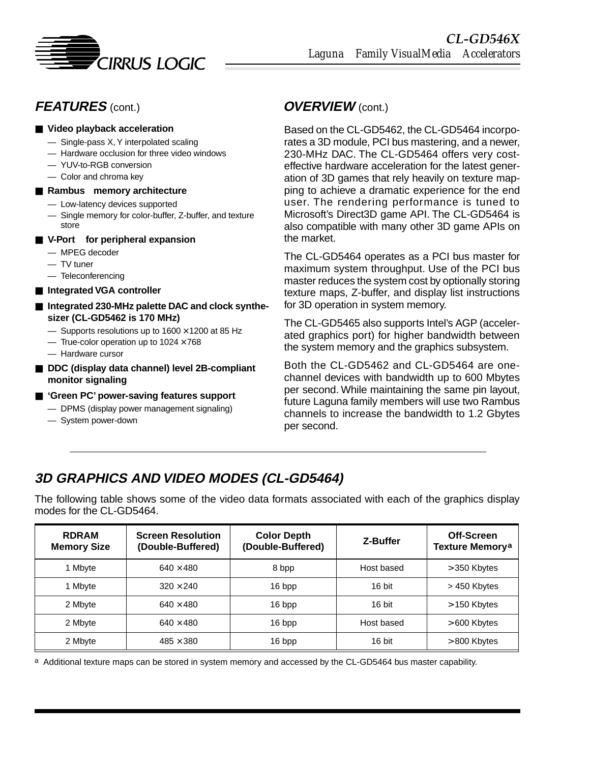

# **FEATURES** (cont.)

#### ■ Video playback acceleration

- Single-pass X, Y interpolated scaling
- Hardware occlusion for three video windows
- YUV-to-RGB conversion
- Color and chroma key
- **Rambus<sup>®</sup> memory architecture** 
	- Low-latency devices supported
	- Single memory for color-buffer, Z-buffer, and texture store
- V-Port<sup>™</sup> for peripheral expansion
	- MPEG decoder
	- TV tuner
	- Teleconferencing
- **Integrated VGA controller**
- Integrated 230-MHz palette DAC and clock synthe**sizer (CL-GD5462 is 170 MHz)**
	- $-$  Supports resolutions up to 1600  $\times$  1200 at 85 Hz
	- True-color operation up to  $1024 \times 768$
	- Hardware cursor
- **DDC** (display data channel) level 2B-compliant **monitor signaling**
- 'Green PC' power-saving features support
	- DPMS (display power management signaling)
	- System power-down

### **OVERVIEW** (cont.)

Based on the CL-GD5462, the CL-GD5464 incorporates a 3D module, PCI bus mastering, and a newer, 230-MHz DAC. The CL-GD5464 offers very costeffective hardware acceleration for the latest generation of 3D games that rely heavily on texture mapping to achieve a dramatic experience for the end user. The rendering performance is tuned to Microsoft's Direct3D game API. The CL-GD5464 is also compatible with many other 3D game APIs on the market.

The CL-GD5464 operates as a PCI bus master for maximum system throughput. Use of the PCI bus master reduces the system cost by optionally storing texture maps, Z-buffer, and display list instructions for 3D operation in system memory.

The CL-GD5465 also supports Intel's AGP (accelerated graphics port) for higher bandwidth between the system memory and the graphics subsystem.

Both the CL-GD5462 and CL-GD5464 are onechannel devices with bandwidth up to 600 Mbytes per second. While maintaining the same pin layout, future Laguna family members will use two Rambus channels to increase the bandwidth to 1.2 Gbytes per second.

# **3D GRAPHICS AND VIDEO MODES (CL-GD5464)**

The following table shows some of the video data formats associated with each of the graphics display modes for the CL-GD5464.

| <b>RDRAM</b><br><b>Memory Size</b> | <b>Screen Resolution</b><br>(Double-Buffered) | <b>Color Depth</b><br>(Double-Buffered) | Z-Buffer   | Off-Screen<br>Texture Memory <sup>a</sup> |
|------------------------------------|-----------------------------------------------|-----------------------------------------|------------|-------------------------------------------|
| 1 Mbyte                            | $640 \times 480$                              | 8 bpp                                   | Host based | $>$ 350 Kbytes                            |
| 1 Mbyte                            | $320 \times 240$                              | 16 bpp                                  | 16 bit     | > 450 Kbytes                              |
| 2 Mbyte                            | $640 \times 480$                              | 16 bpp                                  | 16 bit     | $>$ 150 Kbytes                            |
| 2 Mbyte                            | $640 \times 480$                              | 16 bpp                                  | Host based | $>600$ Kbytes                             |
| 2 Mbyte                            | $485 \times 380$                              | 16 bpp                                  | 16 bit     | $>800$ Kbytes                             |

a Additional texture maps can be stored in system memory and accessed by the CL-GD5464 bus master capability.